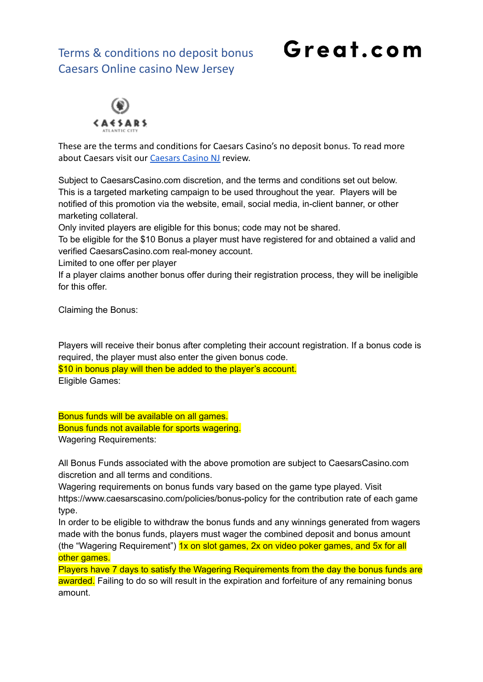Terms & conditions no deposit bonus Caesars Online casino New Jersey

## Great.com



These are the terms and conditions for Caesars Casino's no deposit bonus. To read more about Caesars visit our [Caesars Casino NJ](https://great.com/en-us/online-casino/caesars-online-casino-nj/) review.

Subject to CaesarsCasino.com discretion, and the terms and conditions set out below. This is a targeted marketing campaign to be used throughout the year. Players will be notified of this promotion via the website, email, social media, in-client banner, or other marketing collateral.

Only invited players are eligible for this bonus; code may not be shared.

To be eligible for the \$10 Bonus a player must have registered for and obtained a valid and verified CaesarsCasino.com real-money account.

Limited to one offer per player

If a player claims another bonus offer during their registration process, they will be ineligible for this offer.

Claiming the Bonus:

Players will receive their bonus after completing their account registration. If a bonus code is required, the player must also enter the given bonus code. \$10 in bonus play will then be added to the player's account. Eligible Games:

Bonus funds will be available on all games. Bonus funds not available for sports wagering. Wagering Requirements:

All Bonus Funds associated with the above promotion are subject to CaesarsCasino.com discretion and all terms and conditions.

Wagering requirements on bonus funds vary based on the game type played. Visit https://www.caesarscasino.com/policies/bonus-policy for the contribution rate of each game type.

In order to be eligible to withdraw the bonus funds and any winnings generated from wagers made with the bonus funds, players must wager the combined deposit and bonus amount (the "Wagering Requirement")  $1x$  on slot games,  $2x$  on video poker games, and  $5x$  for all other games.

Players have 7 days to satisfy the Wagering Requirements from the day the bonus funds are awarded. Failing to do so will result in the expiration and forfeiture of any remaining bonus amount.